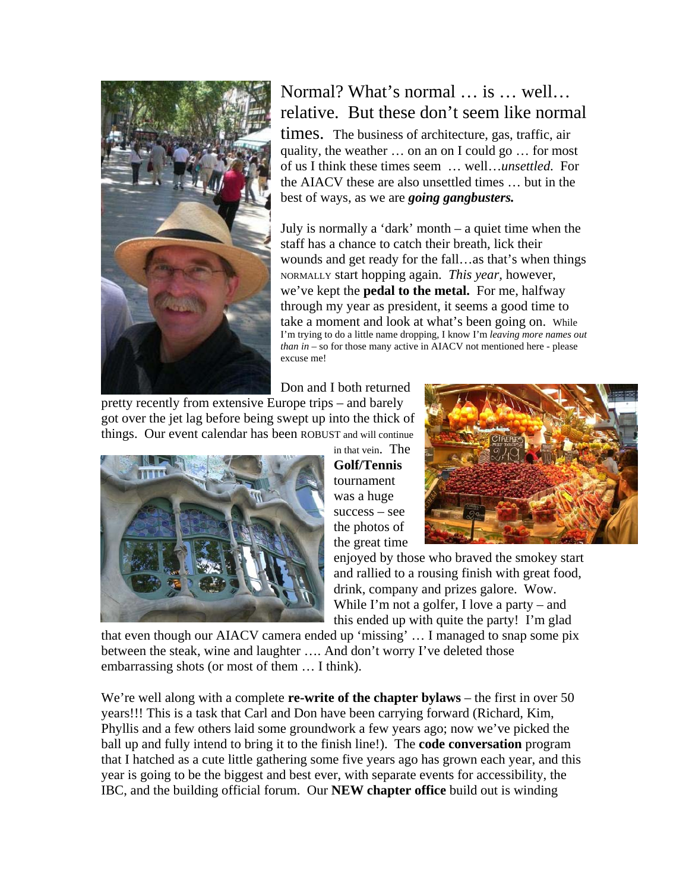

## Normal? What's normal … is … well… relative. But these don't seem like n ormal

times. The business of architecture, gas, traffic, air quality, the weather … on an on I could go … for most of us I think these times seem … well…*unsett led*. For the AIACV these are also unsettled times … but in the best of ways, as we are *going gangbusters.*

July is normally a 'dark' month  $-$  a quiet time when the wounds and get ready for the fall...as that's when things *t* I'm trying to do a little name dropping, I know I'm *leaving more names ou* staff has a chance to catch their breath, lick their NORMALLY start hopping again. *This year,* however, we've kept the **pedal to the metal.** For me, halfway through my year as president, it seems a good time to take a moment and look at what's been going on. While *than in* – so for those many active in AIACV not mentioned here - please excuse me!

Don and I both returned

pretty recently from extensive Europe trips – and barely got over the jet lag before being swept up into the thick of things. Our event calendar has been ROBUST and will continue



in that vein. The the great time **Golf/Tennis** tournament was a huge success – see the photos of



enjoyed by those who braved the smokey start and rallied to a rousing finish with great food, drink, company and prizes galore. Wow. While I'm not a golfer, I love a party – and this ended up with quite the party! I'm glad

that even though our AIACV camera ended up 'missing' ... I managed to snap some pix between the steak, wine and laughter …. And don't worry I've deleted those embarrassing shots (or most of them … I think).

We're well along with a complete **re-write of the chapter bylaws** – the first in over 50 Phyllis and a few others laid some groundwork a few years ago; now we've picked the years!!! This is a task that Carl and Don have been carrying forward (Richard, Kim, ball up and fully intend to bring it to the finish line!). The **code conversation** program that I hatched as a cute little gathering some five years ago has grown each year, and this year is going to be the biggest and best ever, with separate events for accessibility, the IBC, and the building official forum. Our **NEW chapter office** build out is winding